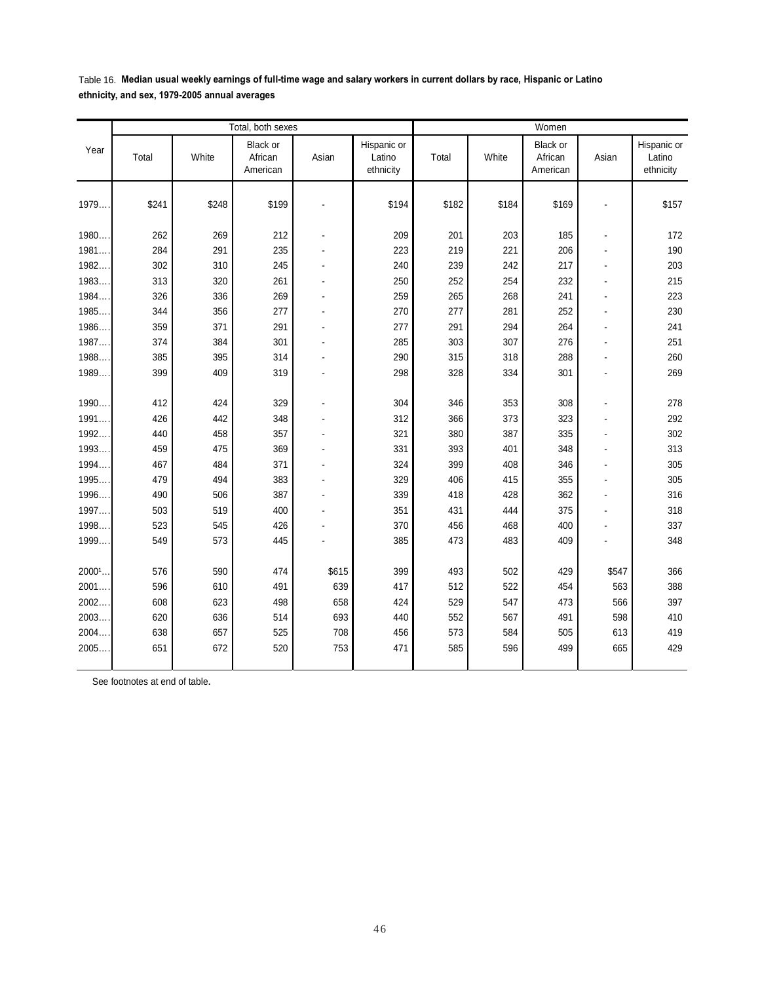Table 16. **Median usual weekly earnings of full-time wage and salary workers in current dollars by race, Hispanic or Latino ethnicity, and sex, 1979-2005 annual averages**

|        | Total, both sexes |       |                                 |                |                                    | Women |       |                                 |                          |                                    |
|--------|-------------------|-------|---------------------------------|----------------|------------------------------------|-------|-------|---------------------------------|--------------------------|------------------------------------|
| Year   | Total             | White | Black or<br>African<br>American | Asian          | Hispanic or<br>Latino<br>ethnicity | Total | White | Black or<br>African<br>American | Asian                    | Hispanic or<br>Latino<br>ethnicity |
| 1979   | \$241             | \$248 | \$199                           |                | \$194                              | \$182 | \$184 | \$169                           |                          | \$157                              |
| 1980   | 262               | 269   | 212                             | ÷              | 209                                | 201   | 203   | 185                             | $\blacksquare$           | 172                                |
| 1981   | 284               | 291   | 235                             |                | 223                                | 219   | 221   | 206                             | $\overline{a}$           | 190                                |
| 1982.  | 302               | 310   | 245                             |                | 240                                | 239   | 242   | 217                             | ÷,                       | 203                                |
| 1983   | 313               | 320   | 261                             |                | 250                                | 252   | 254   | 232                             | $\ddot{\phantom{a}}$     | 215                                |
| 1984.  | 326               | 336   | 269                             | $\overline{a}$ | 259                                | 265   | 268   | 241                             | $\ddot{\phantom{a}}$     | 223                                |
| 1985   | 344               | 356   | 277                             |                | 270                                | 277   | 281   | 252                             | $\overline{a}$           | 230                                |
| 1986.  | 359               | 371   | 291                             | L,             | 277                                | 291   | 294   | 264                             | $\ddot{\phantom{a}}$     | 241                                |
| 1987   | 374               | 384   | 301                             | $\blacksquare$ | 285                                | 303   | 307   | 276                             | $\blacksquare$           | 251                                |
| 1988   | 385               | 395   | 314                             |                | 290                                | 315   | 318   | 288                             | $\blacksquare$           | 260                                |
| 1989   | 399               | 409   | 319                             | $\blacksquare$ | 298                                | 328   | 334   | 301                             | $\overline{a}$           | 269                                |
|        |                   |       |                                 |                |                                    |       |       |                                 |                          |                                    |
| 1990   | 412               | 424   | 329                             |                | 304                                | 346   | 353   | 308                             | $\blacksquare$           | 278                                |
| 1991   | 426               | 442   | 348                             |                | 312                                | 366   | 373   | 323                             | $\overline{a}$           | 292                                |
| 1992.  | 440               | 458   | 357                             |                | 321                                | 380   | 387   | 335                             | $\overline{a}$           | 302                                |
| 1993.  | 459               | 475   | 369                             |                | 331                                | 393   | 401   | 348                             | $\overline{\phantom{a}}$ | 313                                |
| 1994   | 467               | 484   | 371                             |                | 324                                | 399   | 408   | 346                             | $\blacksquare$           | 305                                |
| 1995   | 479               | 494   | 383                             |                | 329                                | 406   | 415   | 355                             | $\ddot{\phantom{a}}$     | 305                                |
| 1996   | 490               | 506   | 387                             |                | 339                                | 418   | 428   | 362                             | $\overline{a}$           | 316                                |
| 1997   | 503               | 519   | 400                             |                | 351                                | 431   | 444   | 375                             |                          | 318                                |
| 1998.  | 523               | 545   | 426                             |                | 370                                | 456   | 468   | 400                             | $\blacksquare$           | 337                                |
| 1999.  | 549               | 573   | 445                             |                | 385                                | 473   | 483   | 409                             |                          | 348                                |
|        |                   |       |                                 |                |                                    |       |       |                                 |                          |                                    |
| 20001. | 576               | 590   | 474                             | \$615          | 399                                | 493   | 502   | 429                             | \$547                    | 366                                |
| 2001   | 596               | 610   | 491                             | 639            | 417                                | 512   | 522   | 454                             | 563                      | 388                                |
| 2002   | 608               | 623   | 498                             | 658            | 424                                | 529   | 547   | 473                             | 566                      | 397                                |
| 2003   | 620               | 636   | 514                             | 693            | 440                                | 552   | 567   | 491                             | 598                      | 410                                |
| 2004   | 638               | 657   | 525                             | 708            | 456                                | 573   | 584   | 505                             | 613                      | 419                                |
| 2005   | 651               | 672   | 520                             | 753            | 471                                | 585   | 596   | 499                             | 665                      | 429                                |
|        |                   |       |                                 |                |                                    |       |       |                                 |                          |                                    |

See footnotes at end of table.